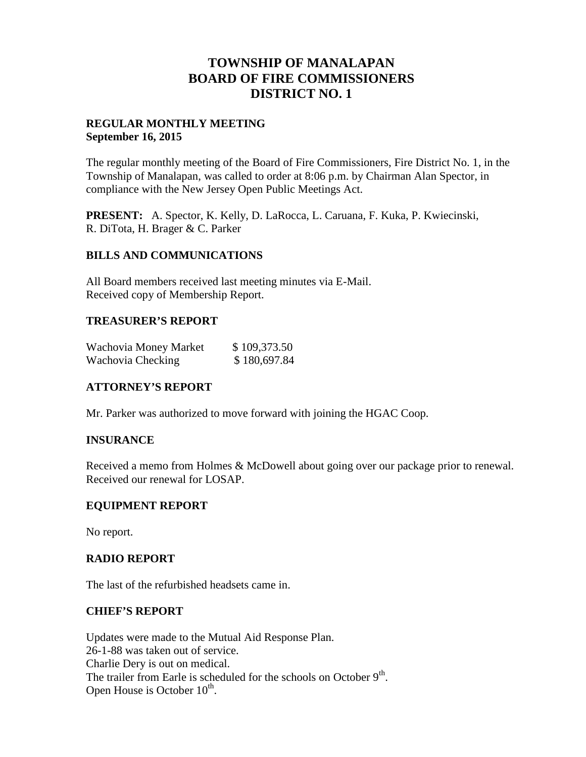## **TOWNSHIP OF MANALAPAN BOARD OF FIRE COMMISSIONERS DISTRICT NO. 1**

#### **REGULAR MONTHLY MEETING September 16, 2015**

The regular monthly meeting of the Board of Fire Commissioners, Fire District No. 1, in the Township of Manalapan, was called to order at 8:06 p.m. by Chairman Alan Spector, in compliance with the New Jersey Open Public Meetings Act.

**PRESENT:** A. Spector, K. Kelly, D. LaRocca, L. Caruana, F. Kuka, P. Kwiecinski, R. DiTota, H. Brager & C. Parker

#### **BILLS AND COMMUNICATIONS**

All Board members received last meeting minutes via E-Mail. Received copy of Membership Report.

## **TREASURER'S REPORT**

| Wachovia Money Market | \$109,373.50 |
|-----------------------|--------------|
| Wachovia Checking     | \$180,697.84 |

## **ATTORNEY'S REPORT**

Mr. Parker was authorized to move forward with joining the HGAC Coop.

#### **INSURANCE**

Received a memo from Holmes & McDowell about going over our package prior to renewal. Received our renewal for LOSAP.

#### **EQUIPMENT REPORT**

No report.

#### **RADIO REPORT**

The last of the refurbished headsets came in.

#### **CHIEF'S REPORT**

Updates were made to the Mutual Aid Response Plan. 26-1-88 was taken out of service. Charlie Dery is out on medical. The trailer from Earle is scheduled for the schools on October  $9<sup>th</sup>$ . Open House is October 10<sup>th</sup>.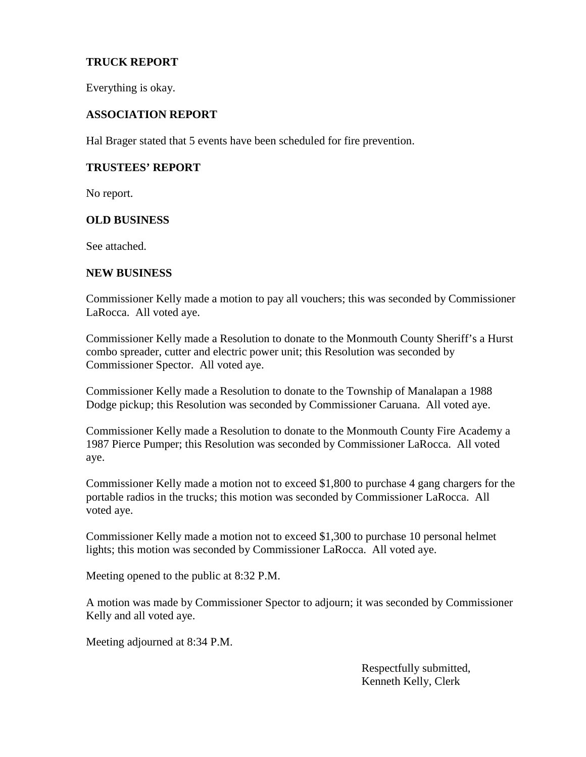## **TRUCK REPORT**

Everything is okay.

#### **ASSOCIATION REPORT**

Hal Brager stated that 5 events have been scheduled for fire prevention.

#### **TRUSTEES' REPORT**

No report.

#### **OLD BUSINESS**

See attached.

#### **NEW BUSINESS**

Commissioner Kelly made a motion to pay all vouchers; this was seconded by Commissioner LaRocca. All voted aye.

Commissioner Kelly made a Resolution to donate to the Monmouth County Sheriff's a Hurst combo spreader, cutter and electric power unit; this Resolution was seconded by Commissioner Spector. All voted aye.

Commissioner Kelly made a Resolution to donate to the Township of Manalapan a 1988 Dodge pickup; this Resolution was seconded by Commissioner Caruana. All voted aye.

Commissioner Kelly made a Resolution to donate to the Monmouth County Fire Academy a 1987 Pierce Pumper; this Resolution was seconded by Commissioner LaRocca. All voted aye.

Commissioner Kelly made a motion not to exceed \$1,800 to purchase 4 gang chargers for the portable radios in the trucks; this motion was seconded by Commissioner LaRocca. All voted aye.

Commissioner Kelly made a motion not to exceed \$1,300 to purchase 10 personal helmet lights; this motion was seconded by Commissioner LaRocca. All voted aye.

Meeting opened to the public at 8:32 P.M.

A motion was made by Commissioner Spector to adjourn; it was seconded by Commissioner Kelly and all voted aye.

Meeting adjourned at 8:34 P.M.

Respectfully submitted, Kenneth Kelly, Clerk